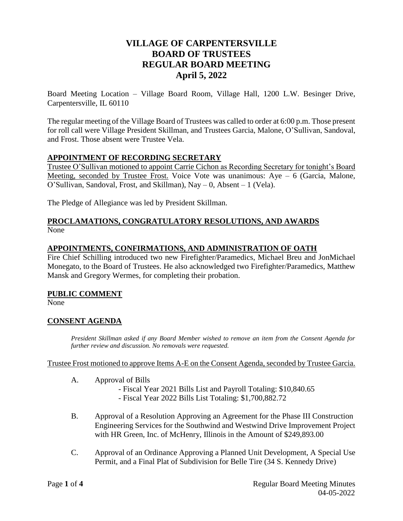# **VILLAGE OF CARPENTERSVILLE BOARD OF TRUSTEES REGULAR BOARD MEETING April 5, 2022**

Board Meeting Location – Village Board Room, Village Hall, 1200 L.W. Besinger Drive, Carpentersville, IL 60110

The regular meeting of the Village Board of Trustees was called to order at 6:00 p.m. Those present for roll call were Village President Skillman, and Trustees Garcia, Malone, O'Sullivan, Sandoval, and Frost. Those absent were Trustee Vela.

## **APPOINTMENT OF RECORDING SECRETARY**

Trustee O'Sullivan motioned to appoint Carrie Cichon as Recording Secretary for tonight's Board Meeting, seconded by Trustee Frost. Voice Vote was unanimous: Aye – 6 (Garcia, Malone, O'Sullivan, Sandoval, Frost, and Skillman), Nay – 0, Absent – 1 (Vela).

The Pledge of Allegiance was led by President Skillman.

#### **PROCLAMATIONS, CONGRATULATORY RESOLUTIONS, AND AWARDS** None

#### **APPOINTMENTS, CONFIRMATIONS, AND ADMINISTRATION OF OATH**

Fire Chief Schilling introduced two new Firefighter/Paramedics, Michael Breu and JonMichael Monegato, to the Board of Trustees. He also acknowledged two Firefighter/Paramedics, Matthew Mansk and Gregory Wermes, for completing their probation.

#### **PUBLIC COMMENT**

None

## **CONSENT AGENDA**

*President Skillman asked if any Board Member wished to remove an item from the Consent Agenda for further review and discussion. No removals were requested.* 

Trustee Frost motioned to approve Items A-E on the Consent Agenda, seconded by Trustee Garcia.

- A. Approval of Bills
	- Fiscal Year 2021 Bills List and Payroll Totaling: \$10,840.65
		- Fiscal Year 2022 Bills List Totaling: \$1,700,882.72
- B. Approval of a Resolution Approving an Agreement for the Phase III Construction Engineering Services for the Southwind and Westwind Drive Improvement Project with HR Green, Inc. of McHenry, Illinois in the Amount of \$249,893.00
- C. Approval of an Ordinance Approving a Planned Unit Development, A Special Use Permit, and a Final Plat of Subdivision for Belle Tire (34 S. Kennedy Drive)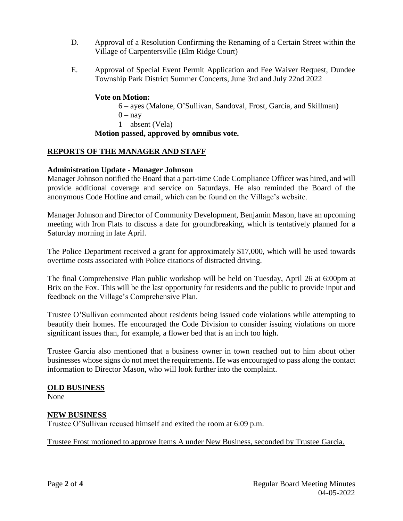- D. Approval of a Resolution Confirming the Renaming of a Certain Street within the Village of Carpentersville (Elm Ridge Court)
- E. Approval of Special Event Permit Application and Fee Waiver Request, Dundee Township Park District Summer Concerts, June 3rd and July 22nd 2022

#### **Vote on Motion:**

6 – ayes (Malone, O'Sullivan, Sandoval, Frost, Garcia, and Skillman)  $0 - n$ ay 1 – absent (Vela)

#### **Motion passed, approved by omnibus vote.**

#### **REPORTS OF THE MANAGER AND STAFF**

#### **Administration Update - Manager Johnson**

Manager Johnson notified the Board that a part-time Code Compliance Officer was hired, and will provide additional coverage and service on Saturdays. He also reminded the Board of the anonymous Code Hotline and email, which can be found on the Village's website.

Manager Johnson and Director of Community Development, Benjamin Mason, have an upcoming meeting with Iron Flats to discuss a date for groundbreaking, which is tentatively planned for a Saturday morning in late April.

The Police Department received a grant for approximately \$17,000, which will be used towards overtime costs associated with Police citations of distracted driving.

The final Comprehensive Plan public workshop will be held on Tuesday, April 26 at 6:00pm at Brix on the Fox. This will be the last opportunity for residents and the public to provide input and feedback on the Village's Comprehensive Plan.

Trustee O'Sullivan commented about residents being issued code violations while attempting to beautify their homes. He encouraged the Code Division to consider issuing violations on more significant issues than, for example, a flower bed that is an inch too high.

Trustee Garcia also mentioned that a business owner in town reached out to him about other businesses whose signs do not meet the requirements. He was encouraged to pass along the contact information to Director Mason, who will look further into the complaint.

#### **OLD BUSINESS**

None

#### **NEW BUSINESS**

Trustee O'Sullivan recused himself and exited the room at 6:09 p.m.

Trustee Frost motioned to approve Items A under New Business, seconded by Trustee Garcia.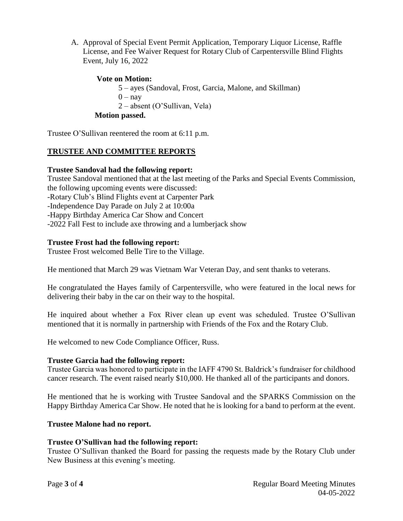A. Approval of Special Event Permit Application, Temporary Liquor License, Raffle License, and Fee Waiver Request for Rotary Club of Carpentersville Blind Flights Event, July 16, 2022

## **Vote on Motion:**

5 – ayes (Sandoval, Frost, Garcia, Malone, and Skillman)  $0 - nav$ 

2 – absent (O'Sullivan, Vela)

**Motion passed.**

Trustee O'Sullivan reentered the room at 6:11 p.m.

## **TRUSTEE AND COMMITTEE REPORTS**

#### **Trustee Sandoval had the following report:**

Trustee Sandoval mentioned that at the last meeting of the Parks and Special Events Commission, the following upcoming events were discussed: -Rotary Club's Blind Flights event at Carpenter Park -Independence Day Parade on July 2 at 10:00a -Happy Birthday America Car Show and Concert -2022 Fall Fest to include axe throwing and a lumberjack show

#### **Trustee Frost had the following report:**

Trustee Frost welcomed Belle Tire to the Village.

He mentioned that March 29 was Vietnam War Veteran Day, and sent thanks to veterans.

He congratulated the Hayes family of Carpentersville, who were featured in the local news for delivering their baby in the car on their way to the hospital.

He inquired about whether a Fox River clean up event was scheduled. Trustee O'Sullivan mentioned that it is normally in partnership with Friends of the Fox and the Rotary Club.

He welcomed to new Code Compliance Officer, Russ.

#### **Trustee Garcia had the following report:**

Trustee Garcia was honored to participate in the IAFF 4790 St. Baldrick's fundraiser for childhood cancer research. The event raised nearly \$10,000. He thanked all of the participants and donors.

He mentioned that he is working with Trustee Sandoval and the SPARKS Commission on the Happy Birthday America Car Show. He noted that he is looking for a band to perform at the event.

## **Trustee Malone had no report.**

## **Trustee O'Sullivan had the following report:**

Trustee O'Sullivan thanked the Board for passing the requests made by the Rotary Club under New Business at this evening's meeting.